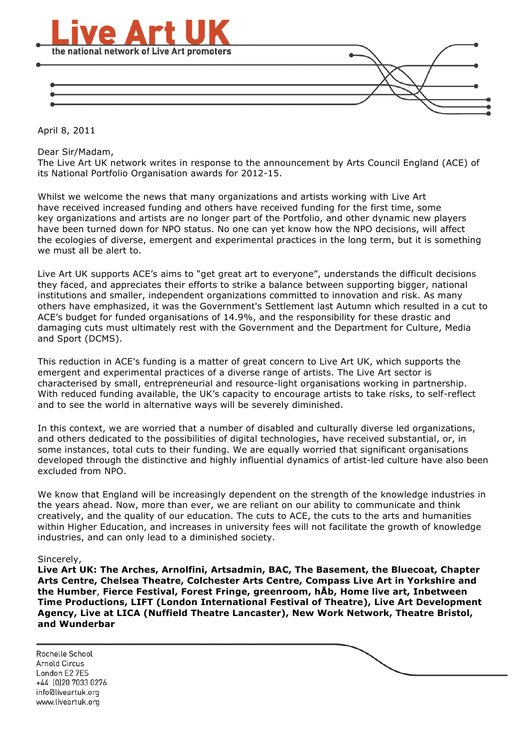

April 8, 2011

Dear Sir/Madam,

The Live Art UK network writes in response to the announcement by Arts Council England (ACE) of its National Portfolio Organisation awards for 2012-15.

Whilst we welcome the news that many organizations and artists working with Live Art have received increased funding and others have received funding for the first time, some key organizations and artists are no longer part of the Portfolio, and other dynamic new players have been turned down for NPO status. No one can yet know how the NPO decisions, will affect the ecologies of diverse, emergent and experimental practices in the long term, but it is something we must all be alert to.

Live Art UK supports ACE's aims to "get great art to everyone", understands the difficult decisions they faced, and appreciates their efforts to strike a balance between supporting bigger, national institutions and smaller, independent organizations committed to innovation and risk. As many others have emphasized, it was the Government's Settlement last Autumn which resulted in a cut to ACE's budget for funded organisations of 14.9%, and the responsibility for these drastic and damaging cuts must ultimately rest with the Government and the Department for Culture, Media and Sport (DCMS).

This reduction in ACE's funding is a matter of great concern to Live Art UK, which supports the emergent and experimental practices of a diverse range of artists. The Live Art sector is characterised by small, entrepreneurial and resource-light organisations working in partnership. With reduced funding available, the UK's capacity to encourage artists to take risks, to self-reflect and to see the world in alternative ways will be severely diminished.

In this context, we are worried that a number of disabled and culturally diverse led organizations, and others dedicated to the possibilities of digital technologies, have received substantial, or, in some instances, total cuts to their funding. We are equally worried that significant organisations developed through the distinctive and highly influential dynamics of artist-led culture have also been excluded from NPO.

We know that England will be increasingly dependent on the strength of the knowledge industries in the years ahead. Now, more than ever, we are reliant on our ability to communicate and think creatively, and the quality of our education. The cuts to ACE, the cuts to the arts and humanities within Higher Education, and increases in university fees will not facilitate the growth of knowledge industries, and can only lead to a diminished society.

## Sincerely,

**Live Art UK: The Arches, Arnolfini, Artsadmin, BAC, The Basement, the Bluecoat, Chapter Arts Centre, Chelsea Theatre, Colchester Arts Centre, Compass Live Art in Yorkshire and the Humber**, **Fierce Festival, Forest Fringe, greenroom, hÅb, Home live art, Inbetween Time Productions, LIFT (London International Festival of Theatre), Live Art Development Agency, Live at LICA (Nuffield Theatre Lancaster), New Work Network, Theatre Bristol, and Wunderbar**

Rochelle School **Arnold Circus** London E2 7ES +44 (0)20 7033 0276 info@liveartuk.org www.liveartuk.org